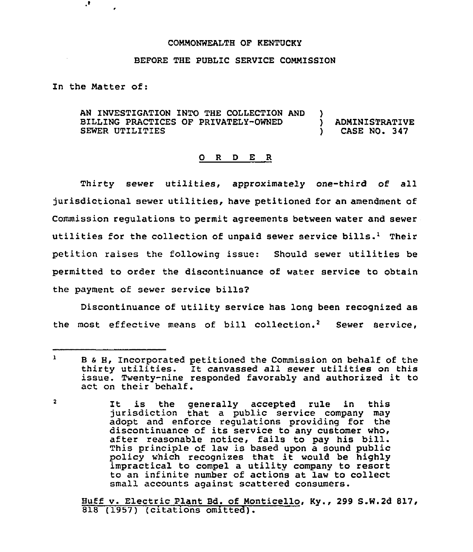#### CONNONWEALTH OF KENTUCKY

## BEFORE THE PUBLIC SERVICE COMMISSION

In the Natter of:

 $\overline{2}$ 

О,

AN INVESTIGATION INTO THE COLLECTION AND )<br>BILLING PRACTICES OF PRIVATELY-OWNED ) BILLING PRACTICES OF PRIVATELY-OWNED ) ADMINISTRATIVE<br>SEWER UTILITIES (2009) SEWER UTILITIES

#### 0 R <sup>D</sup> E <sup>R</sup>

Thirty sewer utilities, approximately one-third of all jurisdictional sewer utilities, have petitioned for an amendment of Commission regulations to permit agreements between water and sewer utilities for the collection of unpaid sewer service bills.<sup>1</sup> Their petition raises the following issue: Should sewer utilities be permitted to order the discontinuance of water service to obtain the payment of sewer service bills2

Discontinuance of utility service has long been recognized as the most effective means of bill collection.<sup>2</sup> Sewer service,

Huff v. Electric Plant Bd. of Nonticello, Ky., 299 S.W.2d 817, 818 (1957) (citations omitted).

 $\mathbf{1}$ B s H, Incorporated petitioned the Commission on behalf of the thirty utilities. It canvassed all sewer utilities on this issue. Twenty-nine responded favorably and authorized it to act on their behalf.

It is the generally accepted rule in this jurisdiction that a public service company may adopt and enforce regulations providing for the discontinuance of its service to any customer who, after reasonable notice, fails to pay his bill. This principle of law is based upon a sound public policy which recognizes that it would be highly impractical to compel a utility company to resort to an infinite number of actions at law to collect small accounts against scattered consumers.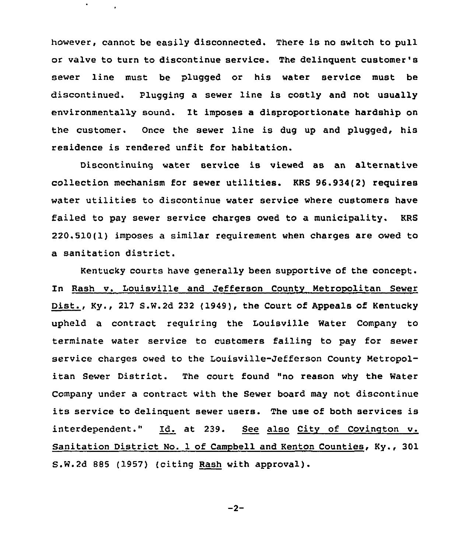however, cannot be easily disconnected. There is no switch to pull or valve to turn to discontinue service. The delinquent customer' sewer line must be plugged or his water service must be discontinued. Plugging a sewer line is costly and not usually environmentally sound. It imposes a disproportionate hardship on the customer. Once the sewer line is dug up and plugged, his residence is rendered unfit for habitation.

Discontinuing water service is viewed as an alternative collection mechanism for sewer utilities. KRS 96.934(2) requires water utilities to discontinue water service where customers have failed to pay sewer service charges owed to a municipality. KRS 220.510(1) imposes a similar requirement when charges are owed to a sanitation district.

Kentucky courts have generally been supportive of the concept. In Rash v. Louisville and Jefferson County Metropolitan Sewer Dist., Ky., 217 S.W.2d <sup>232</sup> (1949), the Court of Appeals of Kentucky upheld a contract requiring the Louisville Water Company to terminate water service to customers failing to pay for sewer service charges owed to the Louisville-Jefferson County Metropolitan Sewer District. The court found "no reason why the Water Company under a contract with the Sewer board may not discontinue its service to delinquent sewer users. The use of both services is interdependent." Id. at 239. See also City of Covington v. Sanitation District No. 1 of Campbell and Kenton Counties, Ky., 301 S.W.2d 885 (1957) (citing Rash with approval).

 $-2-$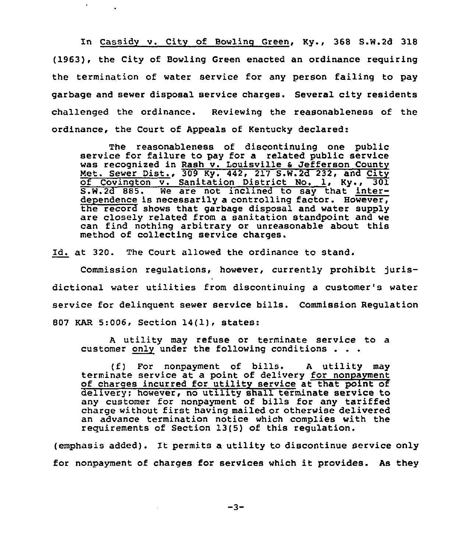In Cassidy v. City of Bowling Green, Ky., 368 S.W.2d 318 (1963), the City of Bowling Green enacted an ordinance requiring the termination of water service for any person failing to pay garbage and sewer disposal service charges. Several city residents challenged the ordinance. Reviewing the reasonableness of the ordinance, the Court of Appeals of Kentucky declared:

The reasonableness of discontinuing one public service for failure to pay for a related public service was recognized in Rash v. Louisville & Jefferson County Met. Sewer Dist., 309 Ky. 442, 217 S.W.2d 232, and City of Covington v. Sanitation District No. 1, Ky., 301 S.W.2d 885. We are not inclined to say that interdependence is necessarily a controlling factor. However, the record shows that garbage disposal and water supply are closely related from a sanitation standpoint and we can find nothing arbitrary or unreasonable about this method of collecting service charges.

Id. at 320. The Court allowed the ordinance to stand.

Commission regulations, however, currently prohibit jurisdictional water utilities from discontinuing a customer's water service for delinguent sewer service bills. Commission Regulation 807 KAR 5:006, Section 14(1), states:

<sup>A</sup> utility may refuse or terminate sezvice to a customer only under the following conditions  $\ldots$ 

(f) For nonpayment of bills. <sup>A</sup> utility may terminate service at <sup>a</sup> point of delivery for nonpayment of charges incurred for utility service at that point of delivery; however, no utility shall terminate service to any customer for nonpayment of bills for any tariffed charge without first having mailed or otherwise delivered an advance termination notice which complies with the reguirements of Section 13(5) of this regulation.

(emphasis added). It permits a utility to discontinue service only for nonpayment of charges for services which it provides. As they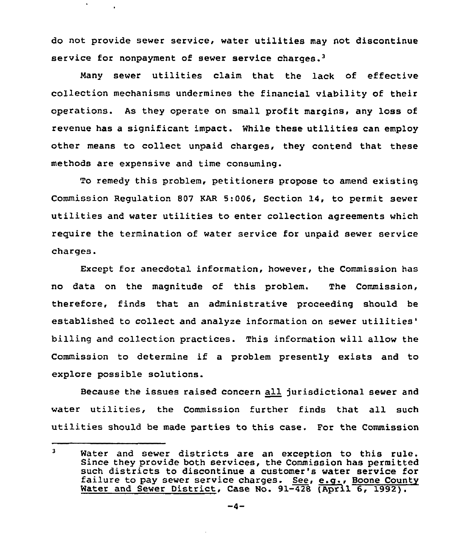do not provide sewer service, water utilities may not discontinue service for nonpayment of sewer service charges.<sup>3</sup>

Many sewer utilities claim that the lack of effective collection mechanisms undermines the financial viability of their operations. As they operate on small profit margins. any loss of revenue has a significant impact. While these utilities can employ other means to collect unpaid charges, they contend that these methods are expensive and time consuming.

To remedy this problem, petitioners propose to amend existing Commission Regulation 807 KAR 5:006, Section 14, to permit sewer utilities and water utilities to enter collection agreements which require the termination of water service for unpaid sewer service charges.

Except for anecdotal information, however, the Commission has no data on the magnitude of this problem. The Commission, therefore, finds that an administrative proceeding should be established to collect and analyze information on sewer utilities' billing and collection practices. This information will allow the Commission to determine if a problem presently exists and to explore possible solutions.

Because the issues raised concern all jurisdictional sewer and water utilities, the Commission further finds that all such utilities should be made parties to this case. For the Commission

 $\overline{\mathbf{3}}$ Water and sewer districts are an exception to this rule. Since they provide both services, the Commission has permitted<br>such districts to discontinue a customer's water service for failure to pay sewer service charges. See, e.g., Boone County Water and Sewer District, Case No.  $91-\overline{428}$  (April 6, 1992).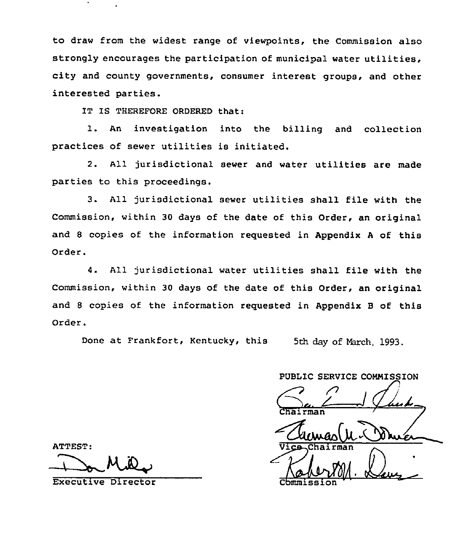to draw from the widest range of viewpoints, the Commission also strongly encourages the participation of municipal water utilities, city and county governments, consumer interest groups, and other interested parties.

IT IS THEREFORE ORDERED that:

1. An investigation into the billing and collection practices of sewer utilities is initiated.

2. All jurisdictional sewer and water utilities are made parties to this proceedings.

3. All jurisdictional sewer utilities shall file with the Commission, within 30 days of the date of this Order, an original and <sup>8</sup> copies of the information requested in Appendix <sup>A</sup> of this Order.

4. All jurisdictional water utilities shall file with the Commission, within 30 days of the date of this Order, an original and <sup>8</sup> copies of the information requested in Appendix B of this Order.

Done at Frankfort, Kentucky, this 5th day of March, 1993.

PUBLIC SERVICE COMMISSION

hairman Chairman<br>Chairman<br>Vice Chairman<br>Commission

<u>Comme</u><br>Dawy

Cbmmission

ATTEST:<br>Do Mules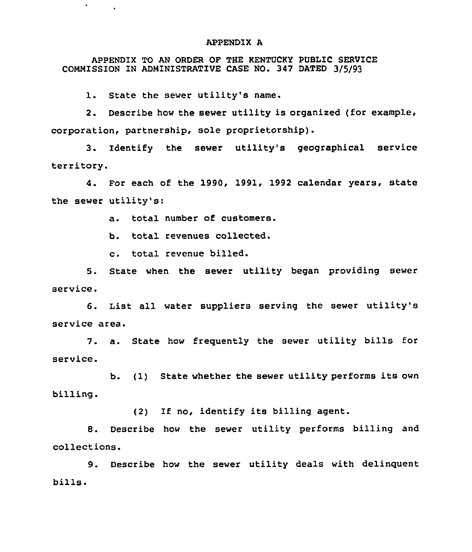## APPENDIX A

APPENDIX TO AN ORDER OF THE KENTUCKY PUBLIC SERVICE COMMISSION IN ADMINISTRATIVE CASE NO. 347 DATED 3/5/93

1. State the sewer utility's name.

 $\bullet$ 

2. Describe how the sewer utility is organized (for example, corporation, partnership, sole proprietorship)

3. Identify the sewer utility's geographical service territory.

4. For each of the 1990, 1991, 1992 calendar years, state the sewer utility's:

a. total number of customers.

b. total revenues collected.

c. total revenue billed.

5. State when the sewer utility began providing sewer service.

6. List all water suppliers serving the sewer utility's service area.

7. a. State how frequently the sewer utility bills for service.

b. (1) State whether the sewer utility performs its own billing.

(2) If no, identify its billing agent.

8. Describe how the sewer utility performs billing and collections.

9. Describe how the sewer utility deals with delinquentbills.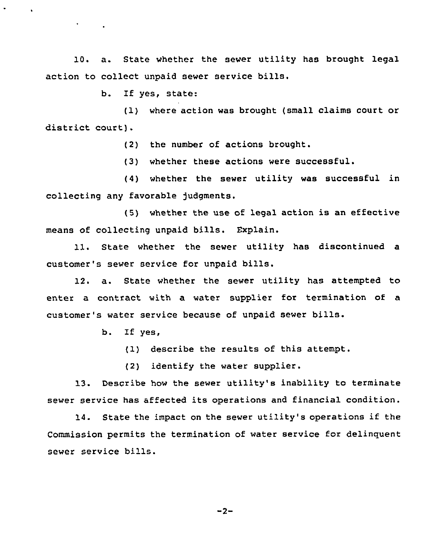10. a. State whether the sewer utility has brought legal action to collect unpaid sewer service bills.

b. If yes, state:

 $\mathcal{F}^{\text{max}}_{\text{max}}$  and  $\mathcal{F}^{\text{max}}_{\text{max}}$ 

(1) where action was brought (small claims court or district court).

(2) the number of actions brought.

(3) whether these actions were successful.

(4) whether the sewer utility was successful in collecting any favorable judgments.

(5) whether the use of legal action is an effective means of collecting unpaid bills. Explain.

11. State whether the sewer utility has discontinued a customer's sewer service for unpaid bills.

12. a. State whether the sewer utility has attempted to enter a contract with a water supplier for termination of a customer's water service because of unpaid sewer bills.

b. If yes,

(1) describe the results of this attempt.

(2) identify the water supplier.

13. Describe how the sewer utility's inability to terminate sewer service has affected its operations and financial condition.

14. State the impact on the sewer utility's operations if the Commission permits the termination of water service for delinquent sewer service bills.

 $-2-$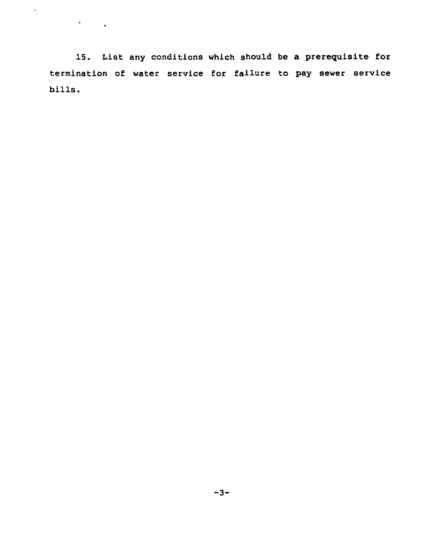15. List any conditions which should be a prerequisite for termination of water service for failure to pay sewer service bills.

 $\mathcal{L}^{\pm}$ 

 $\mathcal{O}(\mathcal{O}(\log n))$  .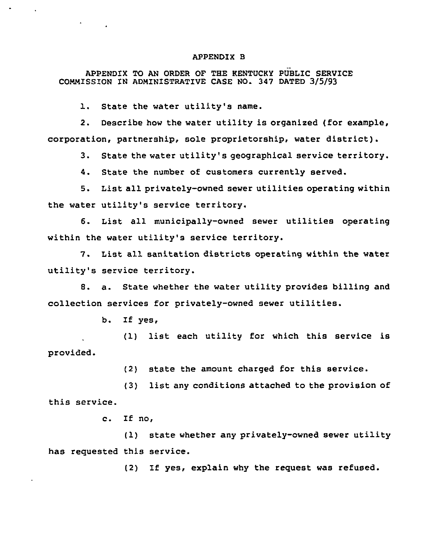# APPENDIX B

APPENDIX TO AN ORDER OF THE KENTUCKY PUBLIC SERVICE COMMISSION IN ADMINISTRATIVE CASE NO. 347 DATED 3/5/9

1. State the water utility's name.

2. Describe how the water utility is organized (for example, corporation, partnership, sole pzoprietorship, water district).

3. State the water utility's geographical service territory.

4. State the number of customers currently served.

5. List all privately-owned sewer utilities operating within the water utility's service territory.

6. List all municipally-owned sewer utilities operating within the water utility's service territory.

7. List all sanitation districts operating within the water utility's service territory.

8. a. State whether the water utility provides billing and collection services for privately-owned sewer utilities.

b. If yes,

(1) list each utility for which this service is provided.

(2) state the amount charged for this service.

(3) list any conditions attached to the provision of this service.

c. If no,

(1) state whether any privately-owned sewer utility has requested this service.

(2) If yes, explain why the request was refused.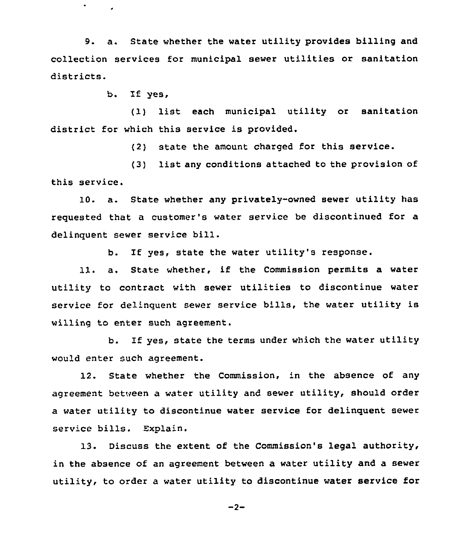9. a. State whether the water utility provides billing and collection services for municipal sewer utilities or sanitation districts.

b. If yes,

 $\bullet$ 

(1) list each municipal utility or sanitation district for which this service is provided.

(2) state the amount charged for this service.

(3) list any conditions attached to the provision of this service.

10. a. State whether any privately-owned sewer utility has requested that a customer's water service be discontinued for a delinquent sewer service bill.

b. If yes, state the water utility's response.

11. a. State whether, if the Commission permits <sup>a</sup> water utility to contract with sewer utilities to discontinue water service for delinquent sewer service bills, the water utility is willing to enter such agreement.

b. If yes, state the terms under which the water utility would enter such agreement.

12. State whether the Commission, in the absence of any agreement between a water utility and sewer utility, should order a water utility to discontinue water service for delinquent sewer service bills. Explain.

13. Discuss the extent of the Commission's legal authority, in the absence of an agreement between a water utility and a sewer utility, to order a water utility to discontinue water service for

 $-2-$